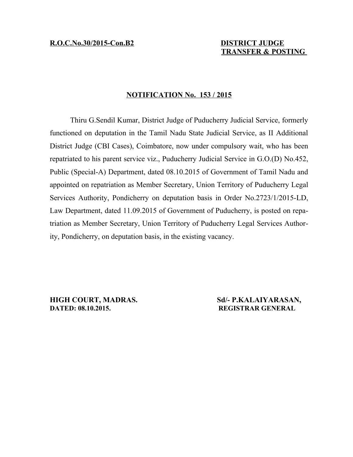# **TRANSFER & POSTING**

## **NOTIFICATION No. 153 / 2015**

Thiru G.Sendil Kumar, District Judge of Puducherry Judicial Service, formerly functioned on deputation in the Tamil Nadu State Judicial Service, as II Additional District Judge (CBI Cases), Coimbatore, now under compulsory wait, who has been repatriated to his parent service viz., Puducherry Judicial Service in G.O.(D) No.452, Public (Special-A) Department, dated 08.10.2015 of Government of Tamil Nadu and appointed on repatriation as Member Secretary, Union Territory of Puducherry Legal Services Authority, Pondicherry on deputation basis in Order No.2723/1/2015-LD, Law Department, dated 11.09.2015 of Government of Puducherry, is posted on repatriation as Member Secretary, Union Territory of Puducherry Legal Services Authority, Pondicherry, on deputation basis, in the existing vacancy.

**HIGH COURT, MADRAS.** Sd/- **P.KALAIYARASAN, DATED: 08.10.2015. REGISTRAR GENERAL**